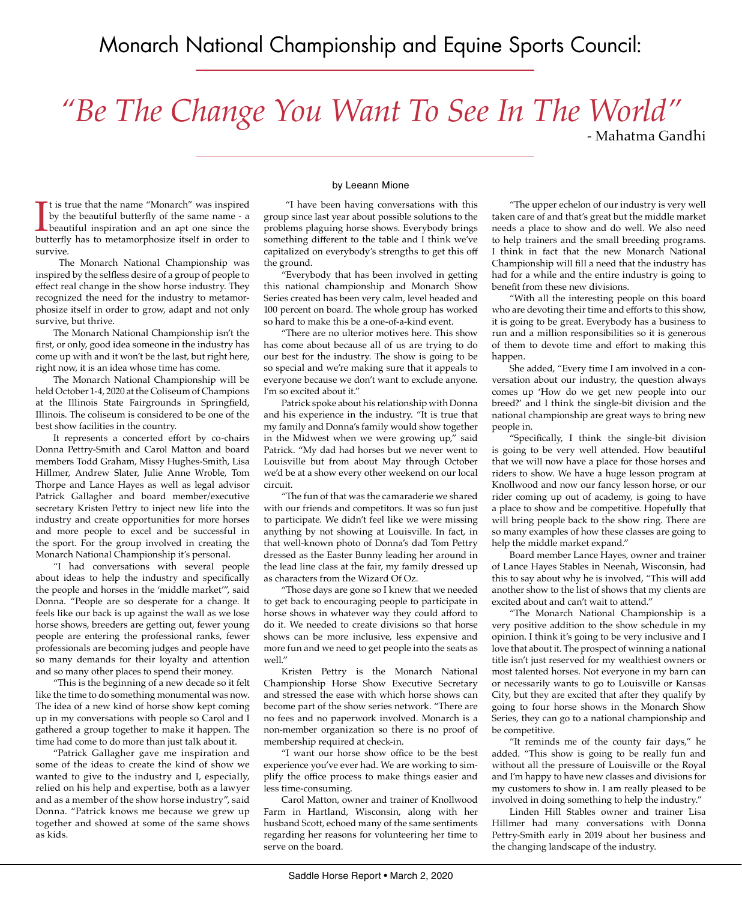# *"Be The Change You Want To See In The World"*

- Mahatma Gandhi

It is true that the name "Monarch" was inspired<br>by the beautiful butterfly of the same name - a<br>beautiful inspiration and an apt one since the<br>butterfly has to metamorphosize itself in order to t is true that the name "Monarch" was inspired by the beautiful butterfly of the same name - a beautiful inspiration and an apt one since the survive.

 The Monarch National Championship was inspired by the selfless desire of a group of people to effect real change in the show horse industry. They recognized the need for the industry to metamorphosize itself in order to grow, adapt and not only survive, but thrive.

The Monarch National Championship isn't the first, or only, good idea someone in the industry has come up with and it won't be the last, but right here, right now, it is an idea whose time has come.

The Monarch National Championship will be held October 1-4, 2020 at the Coliseum of Champions at the Illinois State Fairgrounds in Springfield, Illinois. The coliseum is considered to be one of the best show facilities in the country.

It represents a concerted effort by co-chairs Donna Pettry-Smith and Carol Matton and board members Todd Graham, Missy Hughes-Smith, Lisa Hillmer, Andrew Slater, Julie Anne Wroble, Tom Thorpe and Lance Hayes as well as legal advisor Patrick Gallagher and board member/executive secretary Kristen Pettry to inject new life into the industry and create opportunities for more horses and more people to excel and be successful in the sport. For the group involved in creating the Monarch National Championship it's personal.

"I had conversations with several people about ideas to help the industry and specifically the people and horses in the 'middle market'", said Donna. "People are so desperate for a change. It feels like our back is up against the wall as we lose horse shows, breeders are getting out, fewer young people are entering the professional ranks, fewer professionals are becoming judges and people have so many demands for their loyalty and attention and so many other places to spend their money.

"This is the beginning of a new decade so it felt like the time to do something monumental was now. The idea of a new kind of horse show kept coming up in my conversations with people so Carol and I gathered a group together to make it happen. The time had come to do more than just talk about it.

"Patrick Gallagher gave me inspiration and some of the ideas to create the kind of show we wanted to give to the industry and I, especially, relied on his help and expertise, both as a lawyer and as a member of the show horse industry", said Donna. "Patrick knows me because we grew up together and showed at some of the same shows as kids.

#### by Leeann Mione

 "I have been having conversations with this group since last year about possible solutions to the problems plaguing horse shows. Everybody brings something different to the table and I think we've capitalized on everybody's strengths to get this off the ground.

"Everybody that has been involved in getting this national championship and Monarch Show Series created has been very calm, level headed and 100 percent on board. The whole group has worked so hard to make this be a one-of-a-kind event.

"There are no ulterior motives here. This show has come about because all of us are trying to do our best for the industry. The show is going to be so special and we're making sure that it appeals to everyone because we don't want to exclude anyone. I'm so excited about it."

Patrick spoke about his relationship with Donna and his experience in the industry. "It is true that my family and Donna's family would show together in the Midwest when we were growing up," said Patrick. "My dad had horses but we never went to Louisville but from about May through October we'd be at a show every other weekend on our local circuit.

"The fun of that was the camaraderie we shared with our friends and competitors. It was so fun just to participate. We didn't feel like we were missing anything by not showing at Louisville. In fact, in that well-known photo of Donna's dad Tom Pettry dressed as the Easter Bunny leading her around in the lead line class at the fair, my family dressed up as characters from the Wizard Of Oz.

"Those days are gone so I knew that we needed to get back to encouraging people to participate in horse shows in whatever way they could afford to do it. We needed to create divisions so that horse shows can be more inclusive, less expensive and more fun and we need to get people into the seats as well."

Kristen Pettry is the Monarch National Championship Horse Show Executive Secretary and stressed the ease with which horse shows can become part of the show series network. "There are no fees and no paperwork involved. Monarch is a non-member organization so there is no proof of membership required at check-in.

"I want our horse show office to be the best experience you've ever had. We are working to simplify the office process to make things easier and less time-consuming.

Carol Matton, owner and trainer of Knollwood Farm in Hartland, Wisconsin, along with her husband Scott, echoed many of the same sentiments regarding her reasons for volunteering her time to serve on the board.

"The upper echelon of our industry is very well taken care of and that's great but the middle market needs a place to show and do well. We also need to help trainers and the small breeding programs. I think in fact that the new Monarch National Championship will fill a need that the industry has had for a while and the entire industry is going to benefit from these new divisions.

"With all the interesting people on this board who are devoting their time and efforts to this show, it is going to be great. Everybody has a business to run and a million responsibilities so it is generous of them to devote time and effort to making this happen.

She added, "Every time I am involved in a conversation about our industry, the question always comes up 'How do we get new people into our breed?' and I think the single-bit division and the national championship are great ways to bring new people in.

"Specifically, I think the single-bit division is going to be very well attended. How beautiful that we will now have a place for those horses and riders to show. We have a huge lesson program at Knollwood and now our fancy lesson horse, or our rider coming up out of academy, is going to have a place to show and be competitive. Hopefully that will bring people back to the show ring. There are so many examples of how these classes are going to help the middle market expand."

Board member Lance Hayes, owner and trainer of Lance Hayes Stables in Neenah, Wisconsin, had this to say about why he is involved, "This will add another show to the list of shows that my clients are excited about and can't wait to attend."

"The Monarch National Championship is a very positive addition to the show schedule in my opinion. I think it's going to be very inclusive and I love that about it. The prospect of winning a national title isn't just reserved for my wealthiest owners or most talented horses. Not everyone in my barn can or necessarily wants to go to Louisville or Kansas City, but they are excited that after they qualify by going to four horse shows in the Monarch Show Series, they can go to a national championship and be competitive.

"It reminds me of the county fair days," he added. "This show is going to be really fun and without all the pressure of Louisville or the Royal and I'm happy to have new classes and divisions for my customers to show in. I am really pleased to be involved in doing something to help the industry."

Linden Hill Stables owner and trainer Lisa Hillmer had many conversations with Donna Pettry-Smith early in 2019 about her business and the changing landscape of the industry.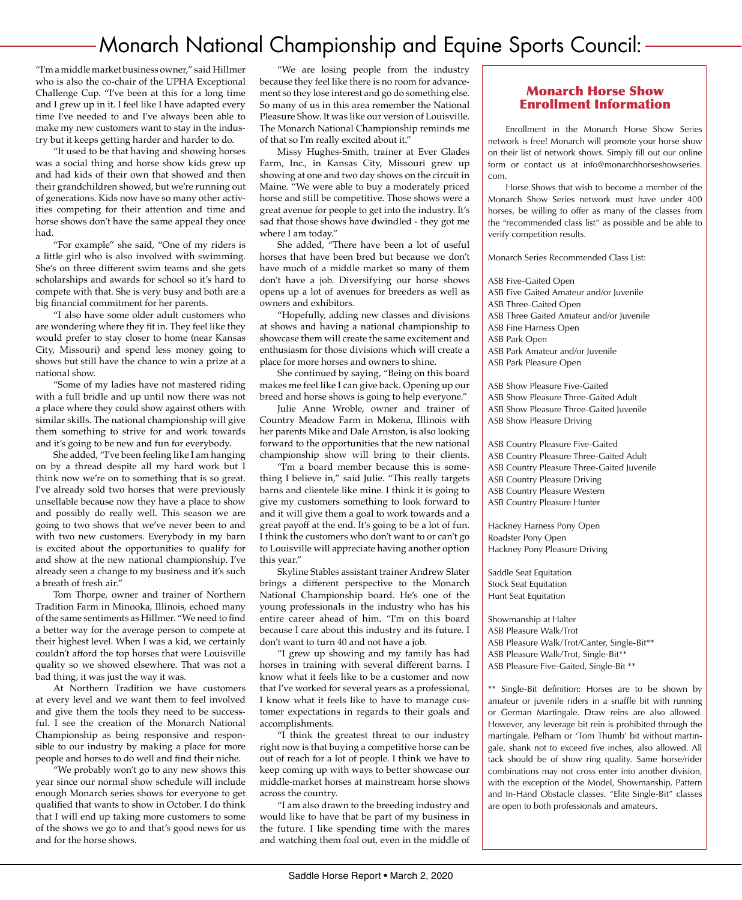## Monarch National Championship and Equine Sports Council:

"I'm a middle market business owner," said Hillmer who is also the co-chair of the UPHA Exceptional Challenge Cup. "I've been at this for a long time and I grew up in it. I feel like I have adapted every time I've needed to and I've always been able to make my new customers want to stay in the industry but it keeps getting harder and harder to do.

"It used to be that having and showing horses was a social thing and horse show kids grew up and had kids of their own that showed and then their grandchildren showed, but we're running out of generations. Kids now have so many other activities competing for their attention and time and horse shows don't have the same appeal they once had.

"For example" she said, "One of my riders is a little girl who is also involved with swimming. She's on three different swim teams and she gets scholarships and awards for school so it's hard to compete with that. She is very busy and both are a big financial commitment for her parents.

"I also have some older adult customers who are wondering where they fit in. They feel like they would prefer to stay closer to home (near Kansas City, Missouri) and spend less money going to shows but still have the chance to win a prize at a national show.

"Some of my ladies have not mastered riding with a full bridle and up until now there was not a place where they could show against others with similar skills. The national championship will give them something to strive for and work towards and it's going to be new and fun for everybody.

She added, "I've been feeling like I am hanging on by a thread despite all my hard work but I think now we're on to something that is so great. I've already sold two horses that were previously unsellable because now they have a place to show and possibly do really well. This season we are going to two shows that we've never been to and with two new customers. Everybody in my barn is excited about the opportunities to qualify for and show at the new national championship. I've already seen a change to my business and it's such a breath of fresh air."

Tom Thorpe, owner and trainer of Northern Tradition Farm in Minooka, Illinois, echoed many of the same sentiments as Hillmer. "We need to find a better way for the average person to compete at their highest level. When I was a kid, we certainly couldn't afford the top horses that were Louisville quality so we showed elsewhere. That was not a bad thing, it was just the way it was.

At Northern Tradition we have customers at every level and we want them to feel involved and give them the tools they need to be successful. I see the creation of the Monarch National Championship as being responsive and responsible to our industry by making a place for more people and horses to do well and find their niche.

"We probably won't go to any new shows this year since our normal show schedule will include enough Monarch series shows for everyone to get qualified that wants to show in October. I do think that I will end up taking more customers to some of the shows we go to and that's good news for us and for the horse shows.

"We are losing people from the industry because they feel like there is no room for advancement so they lose interest and go do something else. So many of us in this area remember the National Pleasure Show. It was like our version of Louisville. The Monarch National Championship reminds me of that so I'm really excited about it."

Missy Hughes-Smith, trainer at Ever Glades Farm, Inc., in Kansas City, Missouri grew up showing at one and two day shows on the circuit in Maine. "We were able to buy a moderately priced horse and still be competitive. Those shows were a great avenue for people to get into the industry. It's sad that those shows have dwindled - they got me where I am today."

She added, "There have been a lot of useful horses that have been bred but because we don't have much of a middle market so many of them don't have a job. Diversifying our horse shows opens up a lot of avenues for breeders as well as owners and exhibitors.

"Hopefully, adding new classes and divisions at shows and having a national championship to showcase them will create the same excitement and enthusiasm for those divisions which will create a place for more horses and owners to shine.

She continued by saying, "Being on this board makes me feel like I can give back. Opening up our breed and horse shows is going to help everyone."

Julie Anne Wroble, owner and trainer of Country Meadow Farm in Mokena, Illinois with her parents Mike and Dale Arnston, is also looking forward to the opportunities that the new national championship show will bring to their clients.

"I'm a board member because this is something I believe in," said Julie. "This really targets barns and clientele like mine. I think it is going to give my customers something to look forward to and it will give them a goal to work towards and a great payoff at the end. It's going to be a lot of fun. I think the customers who don't want to or can't go to Louisville will appreciate having another option this year."

Skyline Stables assistant trainer Andrew Slater brings a different perspective to the Monarch National Championship board. He's one of the young professionals in the industry who has his entire career ahead of him. "I'm on this board because I care about this industry and its future. I don't want to turn 40 and not have a job.

"I grew up showing and my family has had horses in training with several different barns. I know what it feels like to be a customer and now that I've worked for several years as a professional, I know what it feels like to have to manage customer expectations in regards to their goals and accomplishments.

"I think the greatest threat to our industry right now is that buying a competitive horse can be out of reach for a lot of people. I think we have to keep coming up with ways to better showcase our middle-market horses at mainstream horse shows across the country.

"I am also drawn to the breeding industry and would like to have that be part of my business in the future. I like spending time with the mares and watching them foal out, even in the middle of

### Monarch Horse Show Enrollment Information

Enrollment in the Monarch Horse Show Series network is free! Monarch will promote your horse show on their list of network shows. Simply fill out our online form or contact us at info@monarchhorseshowseries. com.

Horse Shows that wish to become a member of the Monarch Show Series network must have under 400 horses, be willing to offer as many of the classes from the "recommended class list" as possible and be able to verify competition results.

Monarch Series Recommended Class List:

ASB Five-Gaited Open ASB Five Gaited Amateur and/or Juvenile ASB Three-Gaited Open ASB Three Gaited Amateur and/or Juvenile ASB Fine Harness Open ASB Park Open ASB Park Amateur and/or Juvenile ASB Park Pleasure Open

ASB Show Pleasure Five-Gaited ASB Show Pleasure Three-Gaited Adult ASB Show Pleasure Three-Gaited Juvenile ASB Show Pleasure Driving

ASB Country Pleasure Five-Gaited ASB Country Pleasure Three-Gaited Adult ASB Country Pleasure Three-Gaited Juvenile ASB Country Pleasure Driving ASB Country Pleasure Western ASB Country Pleasure Hunter

Hackney Harness Pony Open Roadster Pony Open Hackney Pony Pleasure Driving

Saddle Seat Equitation Stock Seat Equitation Hunt Seat Equitation

Showmanship at Halter ASB Pleasure Walk/Trot ASB Pleasure Walk/Trot/Canter, Single-Bit\*\* ASB Pleasure Walk/Trot, Single-Bit\*\* ASB Pleasure Five-Gaited, Single-Bit \*\*

\*\* Single-Bit definition: Horses are to be shown by amateur or juvenile riders in a snaffle bit with running or German Martingale. Draw reins are also allowed. However, any leverage bit rein is prohibited through the martingale. Pelham or 'Tom Thumb' bit without martingale, shank not to exceed five inches, also allowed. All tack should be of show ring quality. Same horse/rider combinations may not cross enter into another division, with the exception of the Model, Showmanship, Pattern and In-Hand Obstacle classes. "Elite Single-Bit" classes are open to both professionals and amateurs.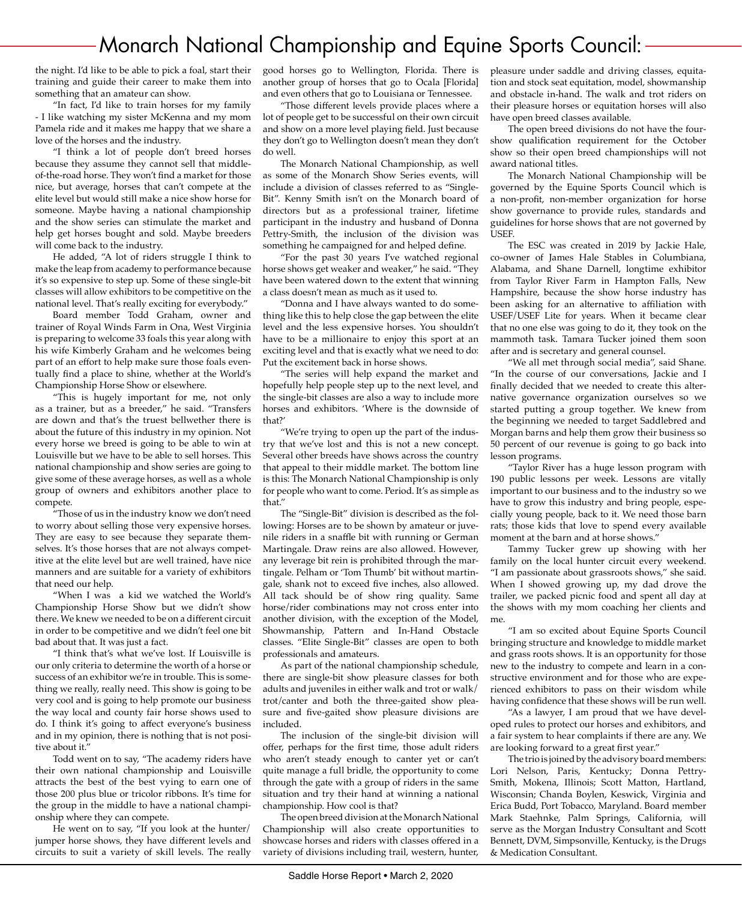### **Monarch National Championship and Equine Sports Council:**

the night. I'd like to be able to pick a foal, start their training and guide their career to make them into something that an amateur can show.

"In fact, I'd like to train horses for my family - I like watching my sister McKenna and my mom Pamela ride and it makes me happy that we share a love of the horses and the industry.

"I think a lot of people don't breed horses because they assume they cannot sell that middleof-the-road horse. They won't find a market for those nice, but average, horses that can't compete at the elite level but would still make a nice show horse for someone. Maybe having a national championship and the show series can stimulate the market and help get horses bought and sold. Maybe breeders will come back to the industry.

He added, "A lot of riders struggle I think to make the leap from academy to performance because it's so expensive to step up. Some of these single-bit classes will allow exhibitors to be competitive on the national level. That's really exciting for everybody."

Board member Todd Graham, owner and trainer of Royal Winds Farm in Ona, West Virginia is preparing to welcome 33 foals this year along with his wife Kimberly Graham and he welcomes being part of an effort to help make sure those foals eventually find a place to shine, whether at the World's Championship Horse Show or elsewhere.

"This is hugely important for me, not only as a trainer, but as a breeder," he said. "Transfers are down and that's the truest bellwether there is about the future of this industry in my opinion. Not every horse we breed is going to be able to win at Louisville but we have to be able to sell horses. This national championship and show series are going to give some of these average horses, as well as a whole group of owners and exhibitors another place to compete.

"Those of us in the industry know we don't need to worry about selling those very expensive horses. They are easy to see because they separate themselves. It's those horses that are not always competitive at the elite level but are well trained, have nice manners and are suitable for a variety of exhibitors that need our help.

"When I was a kid we watched the World's Championship Horse Show but we didn't show there. We knew we needed to be on a different circuit in order to be competitive and we didn't feel one bit bad about that. It was just a fact.

"I think that's what we've lost. If Louisville is our only criteria to determine the worth of a horse or success of an exhibitor we're in trouble. This is something we really, really need. This show is going to be very cool and is going to help promote our business the way local and county fair horse shows used to do. I think it's going to affect everyone's business and in my opinion, there is nothing that is not positive about it."

Todd went on to say, "The academy riders have their own national championship and Louisville attracts the best of the best vying to earn one of those 200 plus blue or tricolor ribbons. It's time for the group in the middle to have a national championship where they can compete.

He went on to say, "If you look at the hunter/ jumper horse shows, they have different levels and circuits to suit a variety of skill levels. The really

good horses go to Wellington, Florida. There is another group of horses that go to Ocala [Florida] and even others that go to Louisiana or Tennessee.

"Those different levels provide places where a lot of people get to be successful on their own circuit and show on a more level playing field. Just because they don't go to Wellington doesn't mean they don't do well.

The Monarch National Championship, as well as some of the Monarch Show Series events, will include a division of classes referred to as "Single-Bit". Kenny Smith isn't on the Monarch board of directors but as a professional trainer, lifetime participant in the industry and husband of Donna Pettry-Smith, the inclusion of the division was something he campaigned for and helped define.

"For the past 30 years I've watched regional horse shows get weaker and weaker," he said. "They have been watered down to the extent that winning a class doesn't mean as much as it used to.

"Donna and I have always wanted to do something like this to help close the gap between the elite level and the less expensive horses. You shouldn't have to be a millionaire to enjoy this sport at an exciting level and that is exactly what we need to do: Put the excitement back in horse shows.

"The series will help expand the market and hopefully help people step up to the next level, and the single-bit classes are also a way to include more horses and exhibitors. 'Where is the downside of that?'

"We're trying to open up the part of the industry that we've lost and this is not a new concept. Several other breeds have shows across the country that appeal to their middle market. The bottom line is this: The Monarch National Championship is only for people who want to come. Period. It's as simple as that."

The "Single-Bit" division is described as the following: Horses are to be shown by amateur or juvenile riders in a snaffle bit with running or German Martingale. Draw reins are also allowed. However, any leverage bit rein is prohibited through the martingale. Pelham or 'Tom Thumb' bit without martingale, shank not to exceed five inches, also allowed. All tack should be of show ring quality. Same horse/rider combinations may not cross enter into another division, with the exception of the Model, Showmanship, Pattern and In-Hand Obstacle classes. "Elite Single-Bit" classes are open to both professionals and amateurs.

As part of the national championship schedule, there are single-bit show pleasure classes for both adults and juveniles in either walk and trot or walk/ trot/canter and both the three-gaited show pleasure and five-gaited show pleasure divisions are included.

The inclusion of the single-bit division will offer, perhaps for the first time, those adult riders who aren't steady enough to canter yet or can't quite manage a full bridle, the opportunity to come through the gate with a group of riders in the same situation and try their hand at winning a national championship. How cool is that?

The open breed division at the Monarch National Championship will also create opportunities to showcase horses and riders with classes offered in a variety of divisions including trail, western, hunter, pleasure under saddle and driving classes, equitation and stock seat equitation, model, showmanship and obstacle in-hand. The walk and trot riders on their pleasure horses or equitation horses will also have open breed classes available.

The open breed divisions do not have the fourshow qualification requirement for the October show so their open breed championships will not award national titles.

The Monarch National Championship will be governed by the Equine Sports Council which is a non-profit, non-member organization for horse show governance to provide rules, standards and guidelines for horse shows that are not governed by USEF.

The ESC was created in 2019 by Jackie Hale, co-owner of James Hale Stables in Columbiana, Alabama, and Shane Darnell, longtime exhibitor from Taylor River Farm in Hampton Falls, New Hampshire, because the show horse industry has been asking for an alternative to affiliation with USEF/USEF Lite for years. When it became clear that no one else was going to do it, they took on the mammoth task. Tamara Tucker joined them soon after and is secretary and general counsel.

"We all met through social media", said Shane. "In the course of our conversations, Jackie and I finally decided that we needed to create this alternative governance organization ourselves so we started putting a group together. We knew from the beginning we needed to target Saddlebred and Morgan barns and help them grow their business so 50 percent of our revenue is going to go back into lesson programs.

"Taylor River has a huge lesson program with 190 public lessons per week. Lessons are vitally important to our business and to the industry so we have to grow this industry and bring people, especially young people, back to it. We need those barn rats; those kids that love to spend every available moment at the barn and at horse shows."

Tammy Tucker grew up showing with her family on the local hunter circuit every weekend. "I am passionate about grassroots shows," she said. When I showed growing up, my dad drove the trailer, we packed picnic food and spent all day at the shows with my mom coaching her clients and me.

"I am so excited about Equine Sports Council bringing structure and knowledge to middle market and grass roots shows. It is an opportunity for those new to the industry to compete and learn in a constructive environment and for those who are experienced exhibitors to pass on their wisdom while having confidence that these shows will be run well.

"As a lawyer, I am proud that we have developed rules to protect our horses and exhibitors, and a fair system to hear complaints if there are any. We are looking forward to a great first year."

The trio is joined by the advisory board members: Lori Nelson, Paris, Kentucky; Donna Pettry-Smith, Mokena, Illinois; Scott Matton, Hartland, Wisconsin; Chanda Boylen, Keswick, Virginia and Erica Budd, Port Tobacco, Maryland. Board member Mark Staehnke, Palm Springs, California, will serve as the Morgan Industry Consultant and Scott Bennett, DVM, Simpsonville, Kentucky, is the Drugs & Medication Consultant.